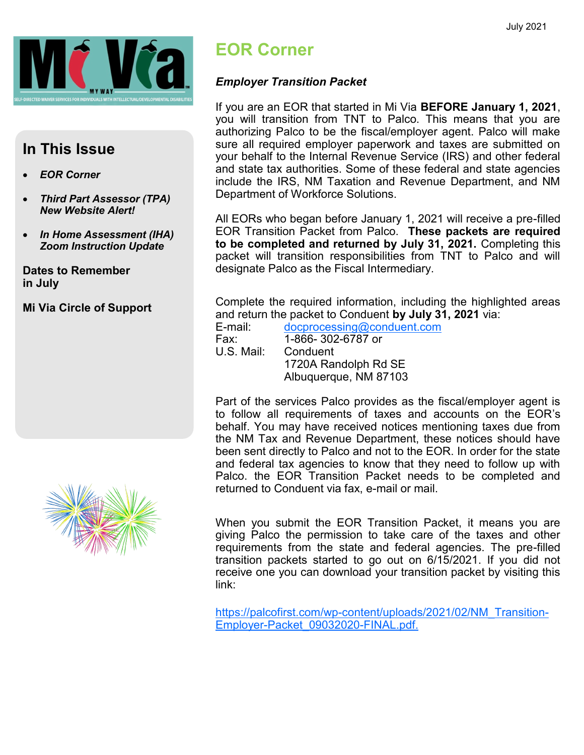

#### **In This Issue**

- *EOR Corner*
- *Third Part Assessor (TPA) New Website Alert!*
- *In Home Assessment (IHA) Zoom Instruction Update*

**Dates to Remember in July**

**Mi Via Circle of Support**



## **EOR Corner**

#### *Employer Transition Packet*

If you are an EOR that started in Mi Via **BEFORE January 1, 2021**, you will transition from TNT to Palco. This means that you are authorizing Palco to be the fiscal/employer agent. Palco will make sure all required employer paperwork and taxes are submitted on your behalf to the Internal Revenue Service (IRS) and other federal and state tax authorities. Some of these federal and state agencies include the IRS, NM Taxation and Revenue Department, and NM Department of Workforce Solutions.

All EORs who began before January 1, 2021 will receive a pre-filled EOR Transition Packet from Palco. **These packets are required to be completed and returned by July 31, 2021.** Completing this packet will transition responsibilities from TNT to Palco and will designate Palco as the Fiscal Intermediary.

Complete the required information, including the highlighted areas and return the packet to Conduent **by July 31, 2021** via:

E-mail: [docprocessing@conduent.com](mailto:docprocessing@conduent.com) Fax: 1-866- 302-6787 or Conduent 1720A Randolph Rd SE Albuquerque, NM 87103

Part of the services Palco provides as the fiscal/employer agent is to follow all requirements of taxes and accounts on the EOR's behalf. You may have received notices mentioning taxes due from the NM Tax and Revenue Department, these notices should have been sent directly to Palco and not to the EOR. In order for the state and federal tax agencies to know that they need to follow up with Palco. the EOR Transition Packet needs to be completed and returned to Conduent via fax, e-mail or mail.

When you submit the EOR Transition Packet, it means you are giving Palco the permission to take care of the taxes and other requirements from the state and federal agencies. The pre-filled transition packets started to go out on 6/15/2021. If you did not receive one you can download your transition packet by visiting this link:

[https://palcofirst.com/wp](https://palcofirst.com/wp-content/uploads/2021/02/NM_Transition-Employer-Packet_09032020-FINAL.pdf)-[content/uploads/2021/02/NM\\_Transition](https://palcofirst.com/wp-content/uploads/2021/02/NM_Transition-Employer-Packet_09032020-FINAL.pdf)-Employer-[Packet\\_09032020](https://palcofirst.com/wp-content/uploads/2021/02/NM_Transition-Employer-Packet_09032020-FINAL.pdf)-FINAL.pdf.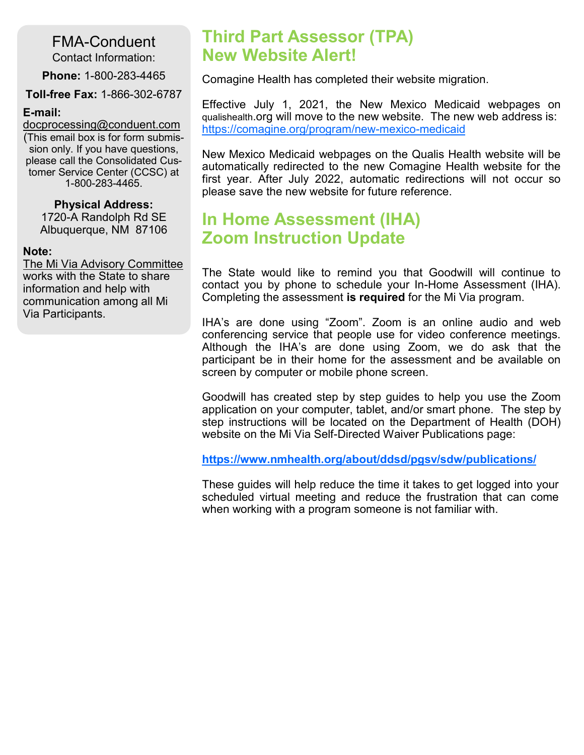FMA-Conduent Contact Information:

**Phone:** 1-800-283-4465

**Toll-free Fax:** 1-866-302-6787

#### **E-mail:**

[docprocessing@conduent.com](mailto:docprocessing@conduent.com) (This email box is for form submission only. If you have questions, please call the Consolidated Customer Service Center (CCSC) at 1-800-283-4465.

#### **Physical Address:**

1720-A Randolph Rd SE Albuquerque, NM 87106

#### **Note:**

The Mi Via Advisory Committee works with the State to share information and help with communication among all Mi Via Participants.

## **Third Part Assessor (TPA) New Website Alert!**

Comagine Health has completed their website migration.

Effective July 1, 2021, the New Mexico Medicaid webpages on qualishealth.org will move to the new website. The new web address is: [https://comagine.org/program/new](https://comagine.org/program/new-mexico-medicaid)-mexico-medicaid

New Mexico Medicaid webpages on the Qualis Health website will be automatically redirected to the new Comagine Health website for the first year. After July 2022, automatic redirections will not occur so please save the new website for future reference.

## **In Home Assessment (IHA) Zoom Instruction Update**

The State would like to remind you that Goodwill will continue to contact you by phone to schedule your In-Home Assessment (IHA). Completing the assessment **is required** for the Mi Via program.

IHA's are done using "Zoom". Zoom is an online audio and web conferencing service that people use for video conference meetings. Although the IHA's are done using Zoom, we do ask that the participant be in their home for the assessment and be available on screen by computer or mobile phone screen.

Goodwill has created step by step guides to help you use the Zoom application on your computer, tablet, and/or smart phone. The step by step instructions will be located on the Department of Health (DOH) website on the Mi Via Self-Directed Waiver Publications page:

**<https://www.nmhealth.org/about/ddsd/pgsv/sdw/publications/>**

These guides will help reduce the time it takes to get logged into your scheduled virtual meeting and reduce the frustration that can come when working with a program someone is not familiar with.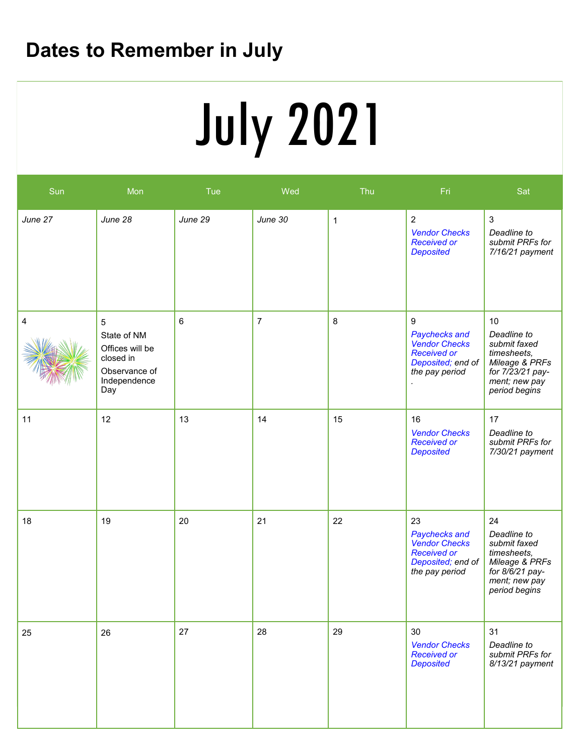# **Dates to Remember in July**

# **Service Deliveries Concerns (E.g. SSP)** July 2021

| Sun     | Mon                                                                                                   | Tue     | Wed            | Thu         | Fri                                                                                                      | Sat                                                                                                                      |
|---------|-------------------------------------------------------------------------------------------------------|---------|----------------|-------------|----------------------------------------------------------------------------------------------------------|--------------------------------------------------------------------------------------------------------------------------|
| June 27 | June 28                                                                                               | June 29 | June 30        | $\mathbf 1$ | $\overline{c}$<br><b>Vendor Checks</b><br><b>Received or</b><br><b>Deposited</b>                         | $\mathbf{3}$<br>Deadline to<br>submit PRFs for<br>7/16/21 payment                                                        |
| 4       | $\overline{5}$<br>State of NM<br>Offices will be<br>closed in<br>Observance of<br>Independence<br>Day | 6       | $\overline{7}$ | 8           | 9<br>Paychecks and<br><b>Vendor Checks</b><br><b>Received or</b><br>Deposited; end of<br>the pay period  | 10<br>Deadline to<br>submit faxed<br>timesheets,<br>Mileage & PRFs<br>for 7/23/21 pay-<br>ment; new pay<br>period begins |
| 11      | 12                                                                                                    | 13      | 14             | 15          | 16<br><b>Vendor Checks</b><br><b>Received or</b><br><b>Deposited</b>                                     | 17<br>Deadline to<br>submit PRFs for<br>7/30/21 payment                                                                  |
| 18      | 19                                                                                                    | 20      | 21             | 22          | 23<br>Paychecks and<br><b>Vendor Checks</b><br><b>Received or</b><br>Deposited; end of<br>the pay period | 24<br>Deadline to<br>submit faxed<br>timesheets,<br>Mileage & PRFs<br>for 8/6/21 pay-<br>ment; new pay<br>period begins  |
| 25      | 26                                                                                                    | 27      | 28             | 29          | 30<br><b>Vendor Checks</b><br><b>Received or</b><br><b>Deposited</b>                                     | 31<br>Deadline to<br>submit PRFs for<br>8/13/21 payment                                                                  |